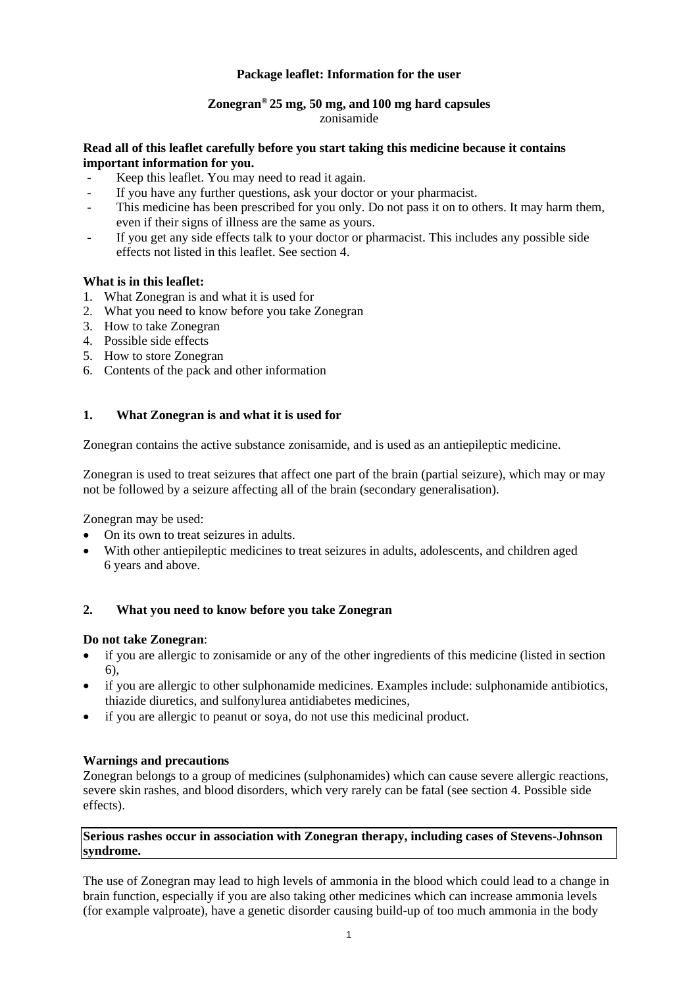# **Package leaflet: Information for the user**

#### **Zonegran® 25 mg, 50 mg, and 100 mg hard capsules** zonisamide

### **Read all of this leaflet carefully before you start taking this medicine because it contains important information for you.**

- Keep this leaflet. You may need to read it again.
- If you have any further questions, ask your doctor or your pharmacist.
- This medicine has been prescribed for you only. Do not pass it on to others. It may harm them, even if their signs of illness are the same as yours.
- If you get any side effects talk to your doctor or pharmacist. This includes any possible side effects not listed in this leaflet. See section 4.

# **What is in this leaflet:**

- 1. What Zonegran is and what it is used for
- 2. What you need to know before you take Zonegran
- 3. How to take Zonegran
- 4. Possible side effects
- 5. How to store Zonegran
- 6. Contents of the pack and other information

# **1. What Zonegran is and what it is used for**

Zonegran contains the active substance zonisamide, and is used as an antiepileptic medicine.

Zonegran is used to treat seizures that affect one part of the brain (partial seizure), which may or may not be followed by a seizure affecting all of the brain (secondary generalisation).

Zonegran may be used:

- On its own to treat seizures in adults.
- With other antiepileptic medicines to treat seizures in adults, adolescents, and children aged 6 years and above.

### **2. What you need to know before you take Zonegran**

### **Do not take Zonegran**:

- if you are allergic to zonisamide or any of the other ingredients of this medicine (listed in section 6),
- if you are allergic to other sulphonamide medicines. Examples include: sulphonamide antibiotics, thiazide diuretics, and sulfonylurea antidiabetes medicines,
- if you are allergic to peanut or soya, do not use this medicinal product.

### **Warnings and precautions**

Zonegran belongs to a group of medicines (sulphonamides) which can cause severe allergic reactions, severe skin rashes, and blood disorders, which very rarely can be fatal (see section 4. Possible side effects).

### **Serious rashes occur in association with Zonegran therapy, including cases of Stevens-Johnson syndrome.**

The use of Zonegran may lead to high levels of ammonia in the blood which could lead to a change in brain function, especially if you are also taking other medicines which can increase ammonia levels (for example valproate), have a genetic disorder causing build-up of too much ammonia in the body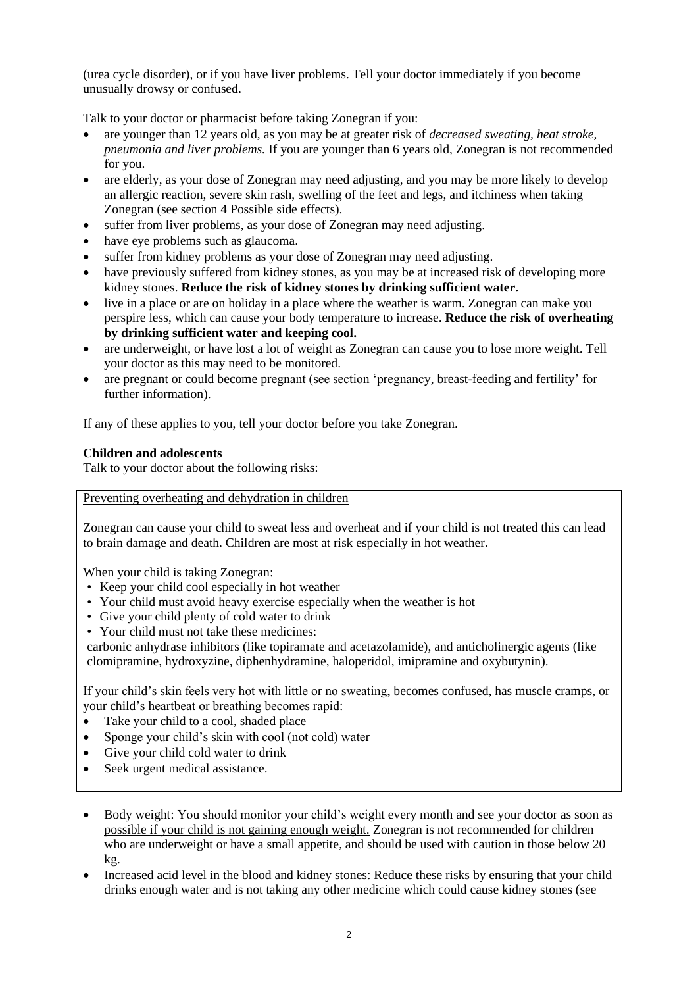(urea cycle disorder), or if you have liver problems. Tell your doctor immediately if you become unusually drowsy or confused.

Talk to your doctor or pharmacist before taking Zonegran if you:

- are younger than 12 years old, as you may be at greater risk of *decreased sweating, heat stroke, pneumonia and liver problems.* If you are younger than 6 years old, Zonegran is not recommended for you.
- are elderly, as your dose of Zonegran may need adjusting, and you may be more likely to develop an allergic reaction, severe skin rash, swelling of the feet and legs, and itchiness when taking Zonegran (see section 4 Possible side effects).
- suffer from liver problems, as your dose of Zonegran may need adjusting.
- have eye problems such as glaucoma.
- suffer from kidney problems as your dose of Zonegran may need adjusting.
- have previously suffered from kidney stones, as you may be at increased risk of developing more kidney stones. **Reduce the risk of kidney stones by drinking sufficient water.**
- live in a place or are on holiday in a place where the weather is warm. Zonegran can make you perspire less, which can cause your body temperature to increase. **Reduce the risk of overheating by drinking sufficient water and keeping cool.**
- are underweight, or have lost a lot of weight as Zonegran can cause you to lose more weight. Tell your doctor as this may need to be monitored.
- are pregnant or could become pregnant (see section 'pregnancy, breast-feeding and fertility' for further information).

If any of these applies to you, tell your doctor before you take Zonegran.

# **Children and adolescents**

Talk to your doctor about the following risks:

Preventing overheating and dehydration in children

Zonegran can cause your child to sweat less and overheat and if your child is not treated this can lead to brain damage and death. Children are most at risk especially in hot weather.

When your child is taking Zonegran:

- Keep your child cool especially in hot weather
- Your child must avoid heavy exercise especially when the weather is hot
- Give your child plenty of cold water to drink
- Your child must not take these medicines:

carbonic anhydrase inhibitors (like topiramate and acetazolamide), and anticholinergic agents (like clomipramine, hydroxyzine, diphenhydramine, haloperidol, imipramine and oxybutynin).

If your child's skin feels very hot with little or no sweating, becomes confused, has muscle cramps, or your child's heartbeat or breathing becomes rapid:

- Take your child to a cool, shaded place
- Sponge your child's skin with cool (not cold) water
- Give your child cold water to drink
- Seek urgent medical assistance.
- Body weight: You should monitor your child's weight every month and see your doctor as soon as possible if your child is not gaining enough weight. Zonegran is not recommended for children who are underweight or have a small appetite, and should be used with caution in those below 20 kg.
- Increased acid level in the blood and kidney stones: Reduce these risks by ensuring that your child drinks enough water and is not taking any other medicine which could cause kidney stones (see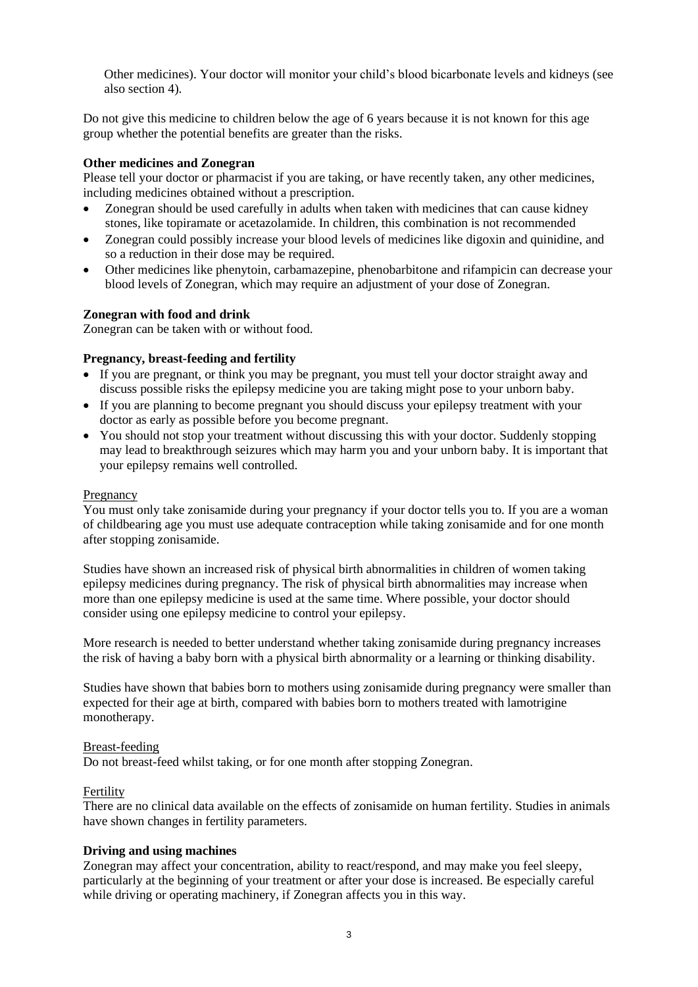Other medicines). Your doctor will monitor your child's blood bicarbonate levels and kidneys (see also section 4).

Do not give this medicine to children below the age of 6 years because it is not known for this age group whether the potential benefits are greater than the risks.

#### **Other medicines and Zonegran**

Please tell your doctor or pharmacist if you are taking, or have recently taken, any other medicines, including medicines obtained without a prescription.

- Zonegran should be used carefully in adults when taken with medicines that can cause kidney stones, like topiramate or acetazolamide. In children, this combination is not recommended
- Zonegran could possibly increase your blood levels of medicines like digoxin and quinidine, and so a reduction in their dose may be required.
- Other medicines like phenytoin, carbamazepine, phenobarbitone and rifampicin can decrease your blood levels of Zonegran, which may require an adjustment of your dose of Zonegran.

#### **Zonegran with food and drink**

Zonegran can be taken with or without food.

#### **Pregnancy, breast-feeding and fertility**

- If you are pregnant, or think you may be pregnant, you must tell your doctor straight away and discuss possible risks the epilepsy medicine you are taking might pose to your unborn baby.
- If you are planning to become pregnant you should discuss your epilepsy treatment with your doctor as early as possible before you become pregnant.
- You should not stop your treatment without discussing this with your doctor. Suddenly stopping may lead to breakthrough seizures which may harm you and your unborn baby. It is important that your epilepsy remains well controlled.

#### **Pregnancy**

You must only take zonisamide during your pregnancy if your doctor tells you to. If you are a woman of childbearing age you must use adequate contraception while taking zonisamide and for one month after stopping zonisamide.

Studies have shown an increased risk of physical birth abnormalities in children of women taking epilepsy medicines during pregnancy. The risk of physical birth abnormalities may increase when more than one epilepsy medicine is used at the same time. Where possible, your doctor should consider using one epilepsy medicine to control your epilepsy.

More research is needed to better understand whether taking zonisamide during pregnancy increases the risk of having a baby born with a physical birth abnormality or a learning or thinking disability.

Studies have shown that babies born to mothers using zonisamide during pregnancy were smaller than expected for their age at birth, compared with babies born to mothers treated with lamotrigine monotherapy.

#### Breast-feeding

Do not breast-feed whilst taking, or for one month after stopping Zonegran.

#### Fertility

There are no clinical data available on the effects of zonisamide on human fertility. Studies in animals have shown changes in fertility parameters.

#### **Driving and using machines**

Zonegran may affect your concentration, ability to react/respond, and may make you feel sleepy, particularly at the beginning of your treatment or after your dose is increased. Be especially careful while driving or operating machinery, if Zonegran affects you in this way.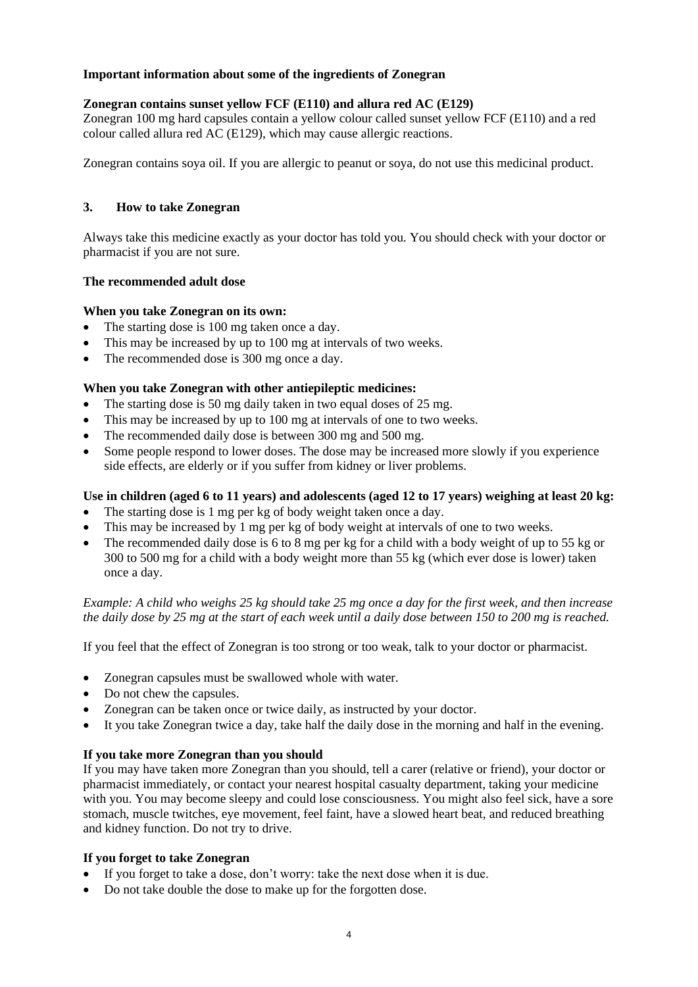# **Important information about some of the ingredients of Zonegran**

# **Zonegran contains sunset yellow FCF (E110) and allura red AC (E129)**

Zonegran 100 mg hard capsules contain a yellow colour called sunset yellow FCF (E110) and a red colour called allura red AC (E129), which may cause allergic reactions.

Zonegran contains soya oil. If you are allergic to peanut or soya, do not use this medicinal product.

# **3. How to take Zonegran**

Always take this medicine exactly as your doctor has told you. You should check with your doctor or pharmacist if you are not sure.

### **The recommended adult dose**

### **When you take Zonegran on its own:**

- The starting dose is 100 mg taken once a day.
- This may be increased by up to 100 mg at intervals of two weeks.
- The recommended dose is 300 mg once a day.

# **When you take Zonegran with other antiepileptic medicines:**

- The starting dose is 50 mg daily taken in two equal doses of 25 mg.
- This may be increased by up to 100 mg at intervals of one to two weeks.
- The recommended daily dose is between 300 mg and 500 mg.
- Some people respond to lower doses. The dose may be increased more slowly if you experience side effects, are elderly or if you suffer from kidney or liver problems.

### **Use in children (aged 6 to 11 years) and adolescents (aged 12 to 17 years) weighing at least 20 kg:**

- The starting dose is 1 mg per kg of body weight taken once a day.
- This may be increased by 1 mg per kg of body weight at intervals of one to two weeks.
- The recommended daily dose is 6 to 8 mg per kg for a child with a body weight of up to 55 kg or 300 to 500 mg for a child with a body weight more than 55 kg (which ever dose is lower) taken once a day.

*Example: A child who weighs 25 kg should take 25 mg once a day for the first week, and then increase the daily dose by 25 mg at the start of each week until a daily dose between 150 to 200 mg is reached.*

If you feel that the effect of Zonegran is too strong or too weak, talk to your doctor or pharmacist.

- Zonegran capsules must be swallowed whole with water.
- Do not chew the capsules.
- Zonegran can be taken once or twice daily, as instructed by your doctor.
- It you take Zonegran twice a day, take half the daily dose in the morning and half in the evening.

### **If you take more Zonegran than you should**

If you may have taken more Zonegran than you should, tell a carer (relative or friend), your doctor or pharmacist immediately, or contact your nearest hospital casualty department, taking your medicine with you. You may become sleepy and could lose consciousness. You might also feel sick, have a sore stomach, muscle twitches, eye movement, feel faint, have a slowed heart beat, and reduced breathing and kidney function. Do not try to drive.

### **If you forget to take Zonegran**

- If you forget to take a dose, don't worry: take the next dose when it is due.
- Do not take double the dose to make up for the forgotten dose.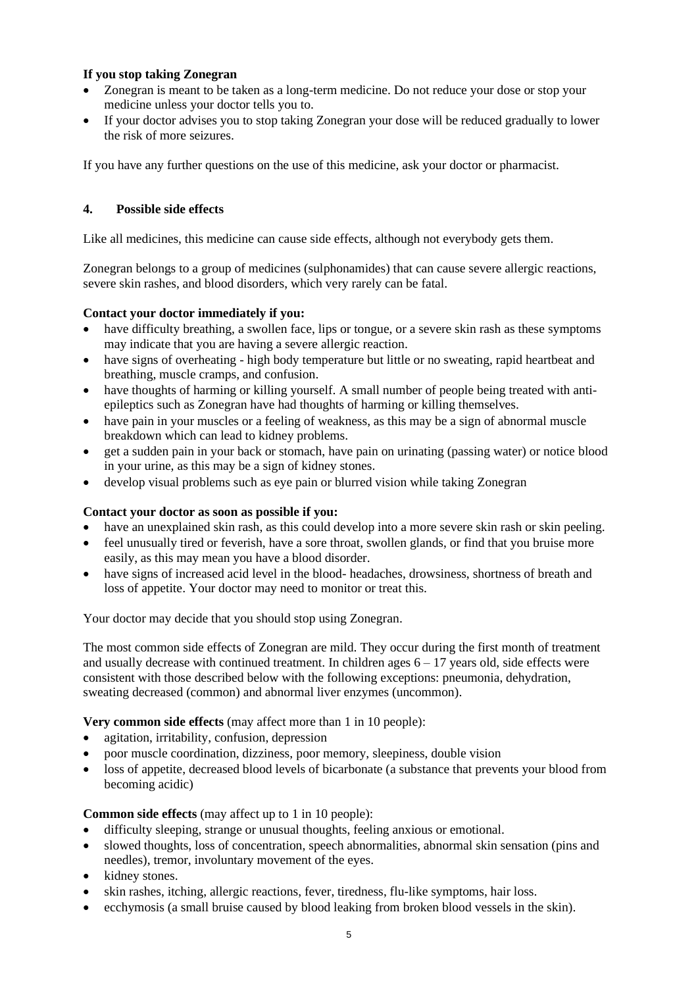# **If you stop taking Zonegran**

- Zonegran is meant to be taken as a long-term medicine. Do not reduce your dose or stop your medicine unless your doctor tells you to.
- If your doctor advises you to stop taking Zonegran your dose will be reduced gradually to lower the risk of more seizures.

If you have any further questions on the use of this medicine, ask your doctor or pharmacist.

# **4. Possible side effects**

Like all medicines, this medicine can cause side effects, although not everybody gets them.

Zonegran belongs to a group of medicines (sulphonamides) that can cause severe allergic reactions, severe skin rashes, and blood disorders, which very rarely can be fatal.

# **Contact your doctor immediately if you:**

- have difficulty breathing, a swollen face, lips or tongue, or a severe skin rash as these symptoms may indicate that you are having a severe allergic reaction.
- have signs of overheating high body temperature but little or no sweating, rapid heartbeat and breathing, muscle cramps, and confusion.
- have thoughts of harming or killing yourself. A small number of people being treated with antiepileptics such as Zonegran have had thoughts of harming or killing themselves.
- have pain in your muscles or a feeling of weakness, as this may be a sign of abnormal muscle breakdown which can lead to kidney problems.
- get a sudden pain in your back or stomach, have pain on urinating (passing water) or notice blood in your urine, as this may be a sign of kidney stones.
- develop visual problems such as eye pain or blurred vision while taking Zonegran

## **Contact your doctor as soon as possible if you:**

- have an unexplained skin rash, as this could develop into a more severe skin rash or skin peeling.
- feel unusually tired or feverish, have a sore throat, swollen glands, or find that you bruise more easily, as this may mean you have a blood disorder.
- have signs of increased acid level in the blood- headaches, drowsiness, shortness of breath and loss of appetite. Your doctor may need to monitor or treat this.

Your doctor may decide that you should stop using Zonegran.

The most common side effects of Zonegran are mild. They occur during the first month of treatment and usually decrease with continued treatment. In children ages  $6 - 17$  years old, side effects were consistent with those described below with the following exceptions: pneumonia, dehydration, sweating decreased (common) and abnormal liver enzymes (uncommon).

**Very common side effects** (may affect more than 1 in 10 people):

- agitation, irritability, confusion, depression
- poor muscle coordination, dizziness, poor memory, sleepiness, double vision
- loss of appetite, decreased blood levels of bicarbonate (a substance that prevents your blood from becoming acidic)

# **Common side effects** (may affect up to 1 in 10 people):

- difficulty sleeping, strange or unusual thoughts, feeling anxious or emotional.
- slowed thoughts, loss of concentration, speech abnormalities, abnormal skin sensation (pins and needles), tremor, involuntary movement of the eyes.
- kidney stones.
- skin rashes, itching, allergic reactions, fever, tiredness, flu-like symptoms, hair loss.
- ecchymosis (a small bruise caused by blood leaking from broken blood vessels in the skin).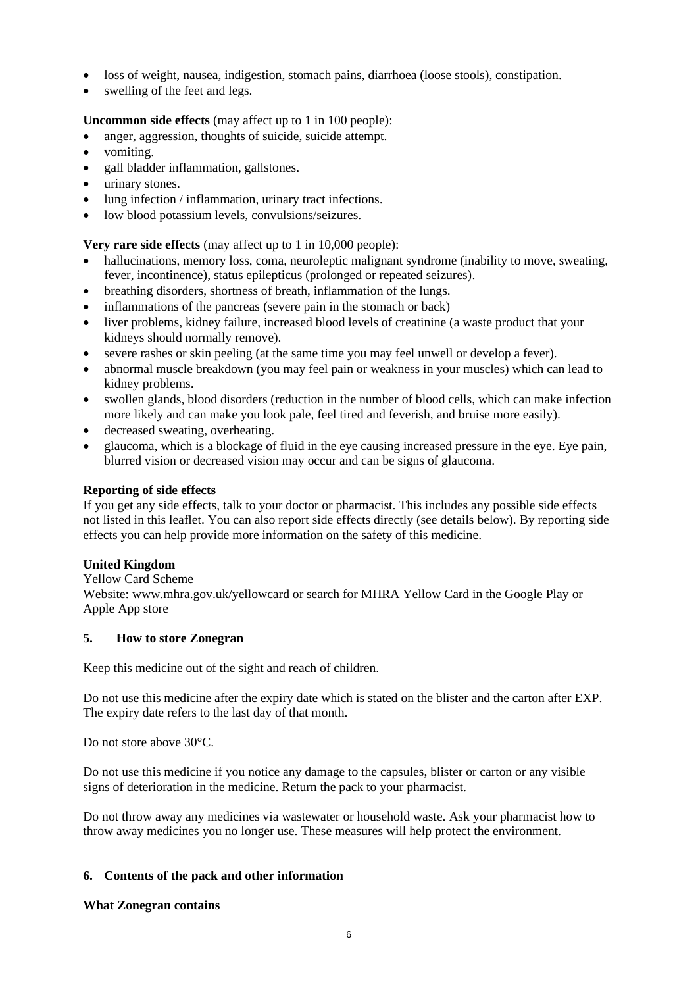- loss of weight, nausea, indigestion, stomach pains, diarrhoea (loose stools), constipation.
- swelling of the feet and legs.

# **Uncommon side effects** (may affect up to 1 in 100 people):

- anger, aggression, thoughts of suicide, suicide attempt.
- vomiting.
- gall bladder inflammation, gallstones.
- urinary stones.
- lung infection / inflammation, urinary tract infections.
- low blood potassium levels, convulsions/seizures.

**Very rare side effects** (may affect up to 1 in 10,000 people):

- hallucinations, memory loss, coma, neuroleptic malignant syndrome (inability to move, sweating, fever, incontinence), status epilepticus (prolonged or repeated seizures).
- breathing disorders, shortness of breath, inflammation of the lungs.
- inflammations of the pancreas (severe pain in the stomach or back)
- liver problems, kidney failure, increased blood levels of creatinine (a waste product that your kidneys should normally remove).
- severe rashes or skin peeling (at the same time you may feel unwell or develop a fever).
- abnormal muscle breakdown (you may feel pain or weakness in your muscles) which can lead to kidney problems.
- swollen glands, blood disorders (reduction in the number of blood cells, which can make infection more likely and can make you look pale, feel tired and feverish, and bruise more easily).
- decreased sweating, overheating.
- glaucoma, which is a blockage of fluid in the eye causing increased pressure in the eye. Eye pain, blurred vision or decreased vision may occur and can be signs of glaucoma.

## **Reporting of side effects**

If you get any side effects, talk to your doctor or pharmacist. This includes any possible side effects not listed in this leaflet. You can also report side effects directly (see details below). By reporting side effects you can help provide more information on the safety of this medicine.

### **United Kingdom**

Yellow Card Scheme

Website: www.mhra.gov.uk/yellowcard or search for MHRA Yellow Card in the Google Play or Apple App store

### **5. How to store Zonegran**

Keep this medicine out of the sight and reach of children.

Do not use this medicine after the expiry date which is stated on the blister and the carton after EXP. The expiry date refers to the last day of that month.

Do not store above 30°C.

Do not use this medicine if you notice any damage to the capsules, blister or carton or any visible signs of deterioration in the medicine. Return the pack to your pharmacist.

Do not throw away any medicines via wastewater or household waste. Ask your pharmacist how to throw away medicines you no longer use. These measures will help protect the environment.

### **6. Contents of the pack and other information**

### **What Zonegran contains**